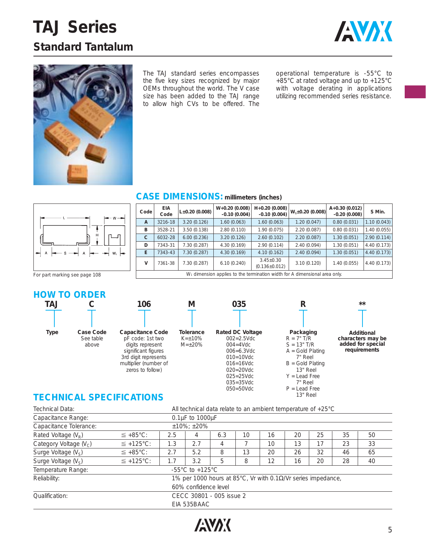# **TAJ Series Standard Tantalum**





The TAJ standard series encompasses the five key sizes recognized by major OEMs throughout the world. The V case size has been added to the TAJ range to allow high CVs to be offered. The operational temperature is -55°C to +85°C at rated voltage and up to +125°C with voltage derating in applications utilizing recommended series resistance.



### **CASE DIMENSIONS: millimeters (inches)**

| Code                                                                          | <b>EIA</b><br>Code | $L\pm0.20$ (0.008) | $W+0.20(0.008)$<br>$-0.10(0.004)$ | $H+0.20(0.008)$<br>$-0.10(0.004)$      | $W_1 \pm 0.20$ (0.008) | $A+0.30(0.012)$<br>$-0.20(0.008)$ | S Min.      |  |  |  |  |
|-------------------------------------------------------------------------------|--------------------|--------------------|-----------------------------------|----------------------------------------|------------------------|-----------------------------------|-------------|--|--|--|--|
| A                                                                             | 3216-18            | 3.20(0.126)        | 1.60(0.063)                       | 1.60(0.063)                            | 1.20(0.047)            | 0.80(0.031)                       | 1.10(0.043) |  |  |  |  |
| В                                                                             | 3528-21            | 3.50(0.138)        | 2.80(0.110)                       | 1.90(0.075)                            | 2.20(0.087)            | 0.80(0.031)                       | 1.40(0.055) |  |  |  |  |
| C                                                                             | 6032-28            | 6.00(0.236)        | 3.20(0.126)                       | 2.60(0.102)                            | 2.20(0.087)            | 1.30(0.051)                       | 2.90(0.114) |  |  |  |  |
| D                                                                             | 7343-31            | 7.30(0.287)        | 4.30(0.169)                       | 2.90(0.114)                            | 2.40(0.094)            | 1.30(0.051)                       | 4.40(0.173) |  |  |  |  |
| E.                                                                            | 7343-43            | 7.30(0.287)        | 4.30(0.169)                       | 4.10(0.162)                            | 2.40(0.094)            | 1.30(0.051)                       | 4.40(0.173) |  |  |  |  |
| v                                                                             | 7361-38            | 7.30(0.287)        | 6.10(0.240)                       | $3.45 \pm 0.30$<br>$(0.136 \pm 0.012)$ | 3.10(0.120)            | 1.40(0.055)                       | 4.40(0.173) |  |  |  |  |
| $W_1$ dimension applies to the termination width for A dimensional area only. |                    |                    |                                   |                                        |                        |                                   |             |  |  |  |  |

For part marking see page 108

### **HOW TO ORDER**





3rd digit represents multiplier (number of zeros to follow) **Tolerance**  $K=\pm 10\%$  $M = \pm 20%$ 

**M**



025=25Vdc 035=35Vdc 050=50Vdc



**R**



**\*\***

### **TECHNICAL SPECIFICATIONS**

| Technical Data:                                                              | All technical data relate to an ambient temperature of $+25^{\circ}$ C |                          |                           |     |    |    |    |    |    |    |  |  |
|------------------------------------------------------------------------------|------------------------------------------------------------------------|--------------------------|---------------------------|-----|----|----|----|----|----|----|--|--|
| Capacitance Range:                                                           |                                                                        |                          | $0.1\mu$ F to $1000\mu$ F |     |    |    |    |    |    |    |  |  |
| Capacitance Tolerance:                                                       |                                                                        |                          | $±10\%$ : $±20\%$         |     |    |    |    |    |    |    |  |  |
| Rated Voltage $(V_R)$                                                        | $\leq$ +85°C:                                                          | 2.5                      | 4                         | 6.3 | 10 | 16 | 20 | 25 | 35 | 50 |  |  |
| Category Voltage (V <sub>c</sub> )                                           | $\leq$ +125°C:                                                         | 1.3                      | 2.7                       | 4   |    | 10 | 13 | 17 | 23 | 33 |  |  |
| Surge Voltage $(V_S)$                                                        | $\leq$ +85°C:                                                          | 2.7                      | 5.2                       | 8   | 13 | 20 | 26 | 32 | 46 | 65 |  |  |
| Surge Voltage $(V_S)$                                                        | $\leq$ +125°C:                                                         | 1.7                      | 3.2                       | 5   | 8  | 12 | 16 | 20 | 28 | 40 |  |  |
| Temperature Range:                                                           | $-55^{\circ}$ C to $+125^{\circ}$ C                                    |                          |                           |     |    |    |    |    |    |    |  |  |
| 1% per 1000 hours at 85°C, Vr with 0.1Ω/Vr series impedance,<br>Reliability: |                                                                        |                          |                           |     |    |    |    |    |    |    |  |  |
| 60% confidence level                                                         |                                                                        |                          |                           |     |    |    |    |    |    |    |  |  |
| Oualification:                                                               |                                                                        | CECC 30801 - 005 issue 2 |                           |     |    |    |    |    |    |    |  |  |
|                                                                              |                                                                        |                          | EIA 535BAAC               |     |    |    |    |    |    |    |  |  |

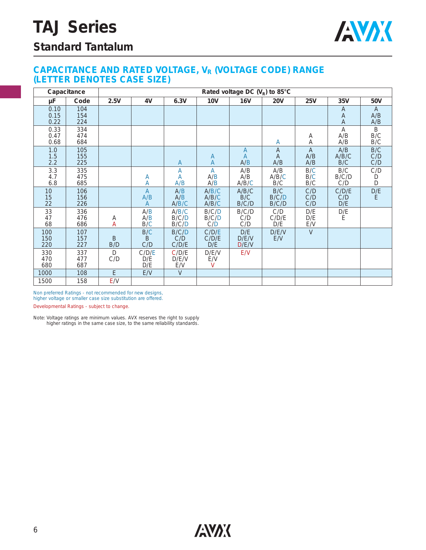

### **Standard Tantalum**

#### **CAPACITANCE AND RATED VOLTAGE, VR (VOLTAGE CODE) RANGE (LETTER DENOTES CASE SIZE)**

|                      | Capacitance       | Rated voltage DC $(V_R)$ to 85°C |                            |                         |                          |                       |                          |                              |                              |                              |  |  |  |  |
|----------------------|-------------------|----------------------------------|----------------------------|-------------------------|--------------------------|-----------------------|--------------------------|------------------------------|------------------------------|------------------------------|--|--|--|--|
| μF                   | Code              | 2.5V                             | 6.3V<br>4V                 |                         | <b>10V</b><br><b>16V</b> |                       | <b>25V</b><br><b>20V</b> |                              | 35V                          | 50V                          |  |  |  |  |
| 0.10<br>0.15<br>0.22 | 104<br>154<br>224 |                                  |                            |                         |                          |                       |                          |                              | A<br>A<br>Α                  | $\overline{A}$<br>A/B<br>A/B |  |  |  |  |
| 0.33<br>0.47<br>0.68 | 334<br>474<br>684 |                                  |                            |                         |                          |                       | A                        | Α<br>Α                       | $\overline{A}$<br>A/B<br>A/B | B<br>B/C<br>B/C              |  |  |  |  |
| 1.0<br>1.5<br>2.2    | 105<br>155<br>225 |                                  |                            | $\mathsf{A}$            | $\mathsf{A}$<br>A        | A<br>A<br>A/B         | $\mathsf{A}$<br>A<br>A/B | $\overline{A}$<br>A/B<br>A/B | A/B<br>A/B/C<br>B/C          | B/C<br>C/D<br>C/D            |  |  |  |  |
| 3.3<br>4.7<br>6.8    | 335<br>475<br>685 |                                  | Α<br>Α                     | A<br>A<br>A/B           | A<br>A/B<br>A/B          | A/B<br>A/B<br>A/B/C   | A/B<br>A/B/C<br>B/C      | B/C<br>B/C<br>B/C            | B/C<br>B/C/D<br>C/D          | C/D<br>D<br>D                |  |  |  |  |
| 10<br>15<br>22       | 106<br>156<br>226 |                                  | $\overline{A}$<br>A/B<br>A | A/B<br>A/B<br>A/B/C     | A/B/C<br>A/B/C<br>A/B/C  | A/B/C<br>B/C<br>B/C/D | B/C<br>B/C/D<br>B/C/D    | C/D<br>C/D<br>C/D            | C/D/E<br>C/D<br>D/E          | $D/E$<br>E                   |  |  |  |  |
| 33<br>47<br>68       | 336<br>476<br>686 | Α<br>Α                           | A/B<br>A/B<br>B/C          | A/B/C<br>B/C/D<br>B/C/D | B/C/D<br>B/C/D<br>C/D    | B/C/D<br>C/D<br>C/D   | C/D<br>C/D/E<br>D/E      | D/E<br>D/E<br>E/V            | D/E<br>E                     |                              |  |  |  |  |
| 100<br>150<br>220    | 107<br>157<br>227 | B<br>B/D                         | B/C<br>B<br>C/D            | B/C/D<br>C/D<br>C/D/E   | C/D/E<br>C/D/E<br>D/E    | D/E<br>D/E/V<br>D/E/V | D/E/V<br>E/V             | $\vee$                       |                              |                              |  |  |  |  |
| 330<br>470<br>680    | 337<br>477<br>687 | D<br>C/D                         | C/D/E<br>D/E<br>D/E        | C/D/E<br>D/E/V<br>E/V   | D/E/V<br>E/V<br>$\vee$   | E/V                   |                          |                              |                              |                              |  |  |  |  |
| 1000                 | 108               | E                                | E/V                        | $\vee$                  |                          |                       |                          |                              |                              |                              |  |  |  |  |
| 1500                 | 158               | E/V                              |                            |                         |                          |                       |                          |                              |                              |                              |  |  |  |  |

Non preferred Ratings - not recommended for new designs, higher voltage or smaller case size substitution are offered.

Developmental Ratings - subject to change.

Note: Voltage ratings are minimum values. AVX reserves the right to supply higher ratings in the same case size, to the same reliability standards.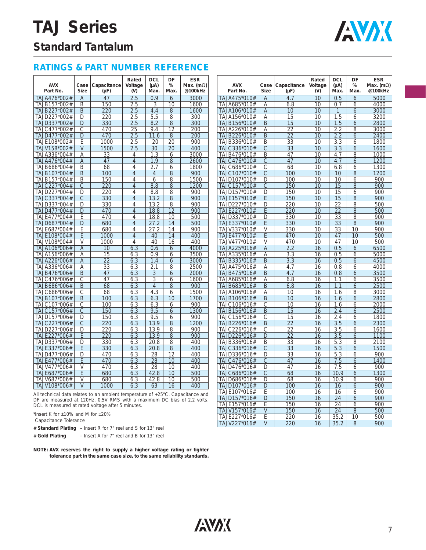# **TAJ Series**



## **Standard Tantalum**

### **RATINGS & PART NUMBER REFERENCE**

| <b>AVX</b><br>Part No.                                                         | Case<br><b>Size</b> | Capacitance<br>$(\mu F)$ | Rated<br>Voltage<br>(V) | <b>DCL</b><br>$(\mu A)$<br>Max. | DF<br>%<br>Max. | <b>ESR</b><br>Max. $(m\Omega)$<br>@100kHz | <b>AVX</b><br>Part No. | Case<br><b>Size</b> | Capacitance<br>$(\mu F)$ | Rated<br>Voltage<br>(V) | <b>DCL</b><br>$(\mu A)$<br>Max. | DF<br>%<br>Max. | <b>ESR</b><br>Max. (m $\Omega$ )<br>@100kHz |
|--------------------------------------------------------------------------------|---------------------|--------------------------|-------------------------|---------------------------------|-----------------|-------------------------------------------|------------------------|---------------------|--------------------------|-------------------------|---------------------------------|-----------------|---------------------------------------------|
| TA.JA476*002#                                                                  | $\overline{A}$      | 47                       | 2.5                     | 0.9                             | 6               | 3000                                      | TAJA475*010#           | A                   | 4.7                      | 10                      | 0.5                             | 6               | 5000                                        |
| TAJB157*002#                                                                   | B                   | 150                      | 2.5                     | 3                               | 10              | 1600                                      | TAJA685*010#           | Α                   | 6.8                      | 10                      | 0.7                             | 6               | 4000                                        |
| TAJB227*002#                                                                   | B                   | 220                      | 2.5                     | 4.4                             | 8               | 1600                                      | TAJA106*010#           | A                   | 10                       | 10                      | 1                               | 6               | 3000                                        |
| TAJD227*002#                                                                   | D                   | 220                      | 2.5                     | 5.5                             | 8               | 300                                       | TAJA156*010#           | Α                   | 15                       | 10                      | 1.5                             | 6               | 3200                                        |
| TAJD337*002#                                                                   | D                   | 330                      | 2.5                     | 8.2                             | $\overline{8}$  | 300                                       | TAJB156*010#           | B                   | 15                       | 10                      | 1.5                             | 6               | 2800                                        |
| TAJC477*002#                                                                   | С                   | 470                      | 25                      | 9.4                             | 12              | 200                                       | TAJA226*010#           | Α                   | 22                       | 10                      | 2.2                             | 8               | 3000                                        |
| TAJD477*002#                                                                   | $\Box$              | 470                      | 2.5                     | 11.6                            | 8               | 200                                       | TAJB226*010#           | B                   | $\overline{22}$          | 10                      | 2.2                             | 6               | 2400                                        |
| TAJE108*002#                                                                   | Ε                   | 1000                     | 2.5                     | 20                              | 20              | 900                                       | TAJB336*010#           | B                   | 33                       | 10                      | 3.3                             | 6               | 1800                                        |
| TAJV158*002#                                                                   | $\vee$              | 1500                     | 2.5                     | 30                              | 20              | 400                                       | TAJC336*010#           | C                   | 33                       | 10                      | 3.3                             | 6               | 1600                                        |
| TAJA336*004#                                                                   | A                   | 33                       | 4                       | 1.3                             | 6               | 3000                                      | TAJB476*010#           | B                   | 47                       | 10                      | 4.7                             | 8               | 1000                                        |
| TAJA476*004#                                                                   | A                   | 47                       | $\overline{4}$          | 1.9                             | 8               | 2600                                      | TAJC476*010#           | C                   | 47                       | 10                      | 4.7                             | 6               | 1200                                        |
| TAJB686*004#                                                                   | B                   | 68                       | $\overline{4}$          | 2.7                             | 6               | 1800                                      | TAJC686*010#           | С                   | 68                       | 10                      | 6.8                             | 6               | 1300                                        |
| TAJB107*004#                                                                   | B                   | 100                      | $\overline{4}$          | $\overline{4}$                  | 8               | 900                                       | TAJC107*010#           | С                   | 100                      | 10                      | 10                              | 8               | 1200                                        |
| TAJB157*004#                                                                   | B                   | 150                      | 4                       | 6                               | 8               | 1500                                      | TAJD107*010#           | D                   | 100                      | 10                      | 10                              | 6               | 900                                         |
| TAJC227*004#                                                                   | $\mathcal{C}$       | 220                      | $\overline{4}$          | 8.8                             | $8\,$           | 1200                                      | TAJC157*010#           | $\mathcal{C}$       | 150                      | 10                      | 15                              | 8               | 900                                         |
| TAJD227*004#                                                                   | D                   | 220                      | $\overline{4}$          | 8.8                             | 8               | 900                                       | TAJD157*010#           | D                   | 150                      | 10                      | 15                              | 6               | 900                                         |
| TAJC337*004#                                                                   | $\mathcal{C}$       | 330                      | $\overline{4}$          | 13.2                            | 8               | 900                                       | TAJE157*010#           | E                   | 150                      | 10                      | 15                              | 8               | 900                                         |
| TAJD337*004#                                                                   | D                   | 330                      | $\overline{4}$          | 13.2                            | 8               | 900                                       | TAJD227*010#           | D                   | 220                      | 10                      | 22                              | 8               | 500                                         |
| TAJD477*004#                                                                   | D                   | 470                      | $\overline{4}$          | 18.8                            | 12              | 900                                       | TAJE227*010#           | E                   | 220                      | 10                      | 22                              | 8               | 500                                         |
| TAJE477*004#                                                                   | F                   | 470                      | $\overline{4}$          | 18.8                            | 10              | 500                                       | TAJD337*010#           | D                   | 330                      | 10                      | 33                              | 8               | 900                                         |
| TAJD687*004#                                                                   | D                   | 680                      | $\overline{4}$          | 27.2                            | 14              | 500                                       | TAJE337*010#           | E                   | 330                      | 10                      | 33                              | 8               | 900                                         |
| TAJE687*004#                                                                   | F                   | 680                      | 4                       | 27.2                            | 14              | 900                                       | TAJV337*010#           | V                   | 330                      | 10                      | 33                              | 10              | 900                                         |
| TAJE108*004#                                                                   | Ε                   | 1000                     | $\overline{4}$          | 40                              | 14              | 400                                       | TAJE477*010#           | E                   | 470                      | 10                      | 47                              | 10              | 500                                         |
| TAJV108*004#                                                                   | V                   | 1000                     | $\overline{4}$          | 40                              | 16              | 400                                       | TAJV477*010#           | V                   | 470                      | 10                      | 47                              | 10              | 500                                         |
| TAJA106*006#                                                                   | Α                   | 10                       | 6.3                     | 0.6                             | 6               | 4000                                      | TAJA225*016#           | Α                   | 2.2                      | 16                      | 0.5                             | 6               | 6500                                        |
| TAJA156*006#                                                                   | Α                   | 15                       | 6.3                     | 0.9                             | 6               | 3500                                      | TAJA335*016#           | Α                   | 3.3                      | 16                      | 0.5                             | 6               | 5000                                        |
| TAJA226*006#                                                                   | $\overline{A}$      | 22                       | 6.3                     | 1.4                             | 6               | 3000                                      | TAJB335*016#           | B                   | 3.3                      | 16                      | 0.5                             | 6               | 4500                                        |
| TAJA336*006#                                                                   | A                   | 33                       | 6.3                     | 2.1                             | 8               | 2500                                      | TAJA475*016#           | Α                   | 4.7                      | 16                      | 0.8                             | 6               | 4000                                        |
| TAJB476*006#                                                                   | B                   | 47                       | 6.3                     | 3                               | 6               | 2000                                      | TAJB475*016#           | B                   | 4.7                      | 16                      | 0.8                             | 6               | 3500                                        |
| TAJC476*006#                                                                   | C                   | 47                       | 6.3                     | 3                               | 6               | 1600                                      | TAJA685*016#           | А                   | 6.8                      | 16                      | 1.1                             | 6               | 3500                                        |
| TAJB686*006#                                                                   | B                   | 68                       | 6.3                     | $\overline{4}$                  | 8               | 900                                       | TAJB685*016#           | B                   | 6.8                      | 16                      | 1.1                             | 6               | 2500                                        |
| TAJC686*006#                                                                   | С                   | 68                       | 6.3                     | 4.3                             | 6               | 1500                                      | TAJA106*016#           | А                   | 10                       | 16                      | 1.6                             | 8               | 3000                                        |
| TAJB107*006#                                                                   | B                   | 100                      | 6.3                     | 6.3                             | 10              | 1700                                      | TAJB106*016#           | B                   | 10                       | 16                      | 1.6                             | 6               | 2800                                        |
| TAJC107*006#                                                                   | C                   | 100                      | 6.3                     | 6.3                             | 6               | 900                                       | TAJC106*016#           | C                   | 10                       | 16                      | 1.6                             | 6               | 2000                                        |
| TAJC157*006#                                                                   | C                   | 150                      | 6.3                     | 9.5                             | 6               | 1300                                      | TAJB156*016#           | B                   | 15                       | 16                      | 2.4                             | 6               | 2500                                        |
| TAJD157*006#                                                                   | D                   | 150                      | 6.3                     | 9.5                             | 6               | 900                                       | TAJC156*016#           | С                   | 15                       | 16                      | 2.4                             | 6               | 1800                                        |
| TAJC227*006#                                                                   | C                   | 220                      | 6.3                     | 13.9                            | 8               | 1200                                      | TAJB226*016#           | B                   | 22                       | 16                      | 3.5                             | 6               | 2300                                        |
| TAJD227*006#                                                                   | D                   | 220                      | 6.3                     | 13.9                            | 8               | 900                                       | TAJC226*016#           | C                   | 22                       | 16                      | 3.5                             | 6               | 1600                                        |
| TAJE227*006#                                                                   | E                   | 220                      | 6.3                     | 13.9                            | 8               | 900                                       | TAJD226*016#           | D                   | 22                       | 16                      | 3.5                             | 6               | 1100                                        |
| TAJD337*006#                                                                   | D                   | 330                      | 6.3                     | 20.8                            | 8               | 400                                       | TAJB336*016#           | B                   | 33                       | 16                      | 5.3                             | 8               | 2100                                        |
| TAJE337*006#                                                                   | F                   | 330                      | 6.3                     | 20.8                            | $\overline{8}$  | 400                                       | TAJC336*016#           | С                   | 33                       | 16                      | 5.3                             | 6               | 1500                                        |
| TAJD477*006#                                                                   | D                   | 470                      | 6.3                     | 28                              | 12              | 400                                       | TAJD336*016#           | D                   | 33                       | 16                      | 5.3                             | 6               | 900                                         |
| TAJE477*006#                                                                   | F                   | 470                      | 6.3                     | 28                              | 10              | 400                                       | TAJC476*016#           | С                   | 47                       | 16                      | 7.5                             | 6               | 1400                                        |
| TAJV477*006#                                                                   | $\vee$              | 470                      | 6.3                     | 28                              | 10              | 400                                       | TAJD476*016#           | D                   | 47                       | 16                      | 7.5                             | 6               | 900                                         |
| TAJE687*006#                                                                   | E                   | 680                      | 6.3                     | 42.8                            | 10              | 500                                       | TAJC686*016#           | C                   | 68                       | 16                      | 10.9                            | 6               | 1300                                        |
| TAJV687*006#                                                                   | $\vee$              | 680                      | 6.3                     | 42.8                            | 10              | 500                                       | TAJD686*016#           | D                   | 68                       | 16                      | 10.9                            | 6               | 900                                         |
| TAJV108*006#                                                                   | $\vee$              | 1000                     | 6.3                     | 63                              | 16              | 400                                       | TAJD107*016#           | D                   | 100                      | 16                      | 16                              | 6               | 900                                         |
|                                                                                |                     |                          |                         |                                 |                 |                                           | TAJE107*016#           | Е                   | 100                      | 16                      | 16                              | 6               | 900                                         |
| All technical data relates to an ambient temperature of +25°C. Capacitance and |                     |                          |                         |                                 |                 |                                           | TAJD157*016#           | D                   | 150                      | 16                      | 24                              |                 | 900                                         |
| DF are measured at 120Hz, 0.5V RMS with a maximum DC bias of 2.2 volts.        |                     |                          |                         |                                 |                 |                                           |                        | E                   |                          | 16                      |                                 | 6               |                                             |
| DCL is measured at rated voltage after 5 minutes.                              |                     |                          |                         |                                 |                 |                                           | TAJE157*016#           | $\vee$              | 150                      |                         | 24<br>24                        | 6               | 900<br>500                                  |
| *Insert K for $\pm 10\%$ and M for $\pm 20\%$                                  |                     |                          |                         |                                 |                 |                                           | TAJV157*016#           |                     | 150                      | 16                      |                                 | 8               |                                             |
| Capacitance Tolerance                                                          |                     |                          |                         |                                 |                 |                                           | TAJE227*016#           | Е                   | 220                      | 16                      | 35.2                            | 10              | 500                                         |

| Capacitance Tolerance |  |
|-----------------------|--|
|                       |  |

|                | # Standard Plating - Insert R for 7" reel and S for 13" reel |  |
|----------------|--------------------------------------------------------------|--|
| # Gold Plating | - Insert A for 7" reel and B for 13" reel                    |  |

**NOTE: AVX reserves the right to supply a higher voltage rating or tighter tolerance part in the same case size, to the same reliability standards.**



TAJV227\*016#

TAJE227\*016# E 220 16 35.2 10 500<br>TAJV227\*016# V 220 16 35.2 8 900